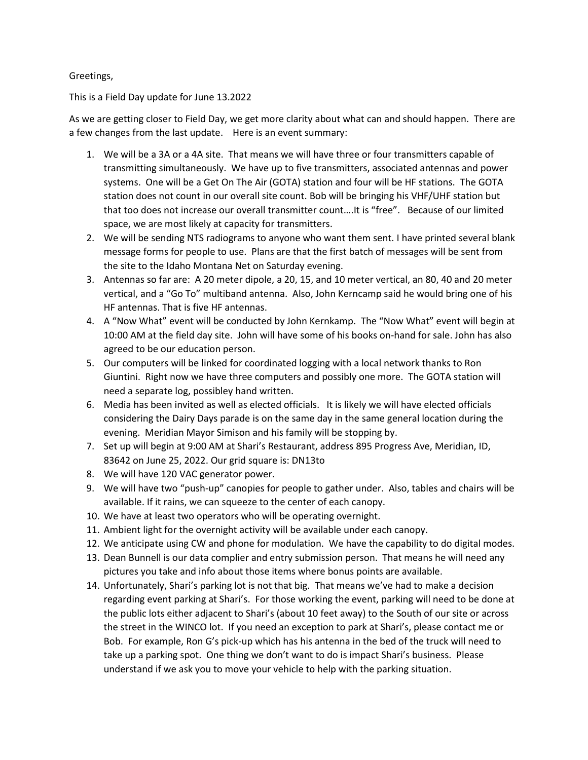## Greetings,

This is a Field Day update for June 13.2022

As we are getting closer to Field Day, we get more clarity about what can and should happen. There are a few changes from the last update. Here is an event summary:

- 1. We will be a 3A or a 4A site. That means we will have three or four transmitters capable of transmitting simultaneously. We have up to five transmitters, associated antennas and power systems. One will be a Get On The Air (GOTA) station and four will be HF stations. The GOTA station does not count in our overall site count. Bob will be bringing his VHF/UHF station but that too does not increase our overall transmitter count….It is "free". Because of our limited space, we are most likely at capacity for transmitters.
- 2. We will be sending NTS radiograms to anyone who want them sent. I have printed several blank message forms for people to use. Plans are that the first batch of messages will be sent from the site to the Idaho Montana Net on Saturday evening.
- 3. Antennas so far are: A 20 meter dipole, a 20, 15, and 10 meter vertical, an 80, 40 and 20 meter vertical, and a "Go To" multiband antenna. Also, John Kerncamp said he would bring one of his HF antennas. That is five HF antennas.
- 4. A "Now What" event will be conducted by John Kernkamp. The "Now What" event will begin at 10:00 AM at the field day site. John will have some of his books on-hand for sale. John has also agreed to be our education person.
- 5. Our computers will be linked for coordinated logging with a local network thanks to Ron Giuntini. Right now we have three computers and possibly one more. The GOTA station will need a separate log, possibley hand written.
- 6. Media has been invited as well as elected officials. It is likely we will have elected officials considering the Dairy Days parade is on the same day in the same general location during the evening. Meridian Mayor Simison and his family will be stopping by.
- 7. Set up will begin at 9:00 AM at Shari's Restaurant, address 895 Progress Ave, Meridian, ID, 83642 on June 25, 2022. Our grid square is: DN13to
- 8. We will have 120 VAC generator power.
- 9. We will have two "push-up" canopies for people to gather under. Also, tables and chairs will be available. If it rains, we can squeeze to the center of each canopy.
- 10. We have at least two operators who will be operating overnight.
- 11. Ambient light for the overnight activity will be available under each canopy.
- 12. We anticipate using CW and phone for modulation. We have the capability to do digital modes.
- 13. Dean Bunnell is our data complier and entry submission person. That means he will need any pictures you take and info about those items where bonus points are available.
- 14. Unfortunately, Shari's parking lot is not that big. That means we've had to make a decision regarding event parking at Shari's. For those working the event, parking will need to be done at the public lots either adjacent to Shari's (about 10 feet away) to the South of our site or across the street in the WINCO lot. If you need an exception to park at Shari's, please contact me or Bob. For example, Ron G's pick-up which has his antenna in the bed of the truck will need to take up a parking spot. One thing we don't want to do is impact Shari's business. Please understand if we ask you to move your vehicle to help with the parking situation.